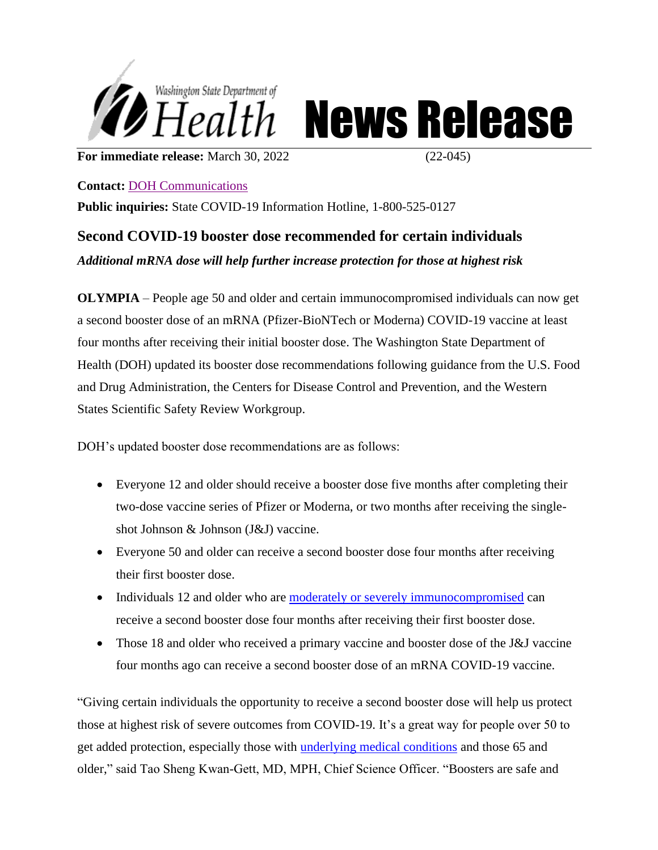

Health News Release

**For immediate release:** March 30, 2022 (22-045)

**Contact:** DOH [Communications](mailto:doh-pio@doh.wa.gov)

**Public inquiries:** State COVID-19 Information Hotline, 1-800-525-0127

## **Second COVID-19 booster dose recommended for certain individuals** *Additional mRNA dose will help further increase protection for those at highest risk*

**OLYMPIA** – People age 50 and older and certain immunocompromised individuals can now get a second booster dose of an mRNA (Pfizer-BioNTech or Moderna) COVID-19 vaccine at least four months after receiving their initial booster dose. The Washington State Department of Health (DOH) updated its booster dose recommendations following guidance from the U.S. Food and Drug Administration, the Centers for Disease Control and Prevention, and the Western States Scientific Safety Review Workgroup.

DOH's updated booster dose recommendations are as follows:

- Everyone 12 and older should receive a booster dose five months after completing their two-dose vaccine series of Pfizer or Moderna, or two months after receiving the singleshot Johnson & Johnson (J&J) vaccine.
- Everyone 50 and older can receive a second booster dose four months after receiving their first booster dose.
- Individuals 12 and older who are [moderately or severely immunocompromised](https://www.cdc.gov/coronavirus/2019-ncov/vaccines/recommendations/immuno.html) can receive a second booster dose four months after receiving their first booster dose.
- Those 18 and older who received a primary vaccine and booster dose of the J&J vaccine four months ago can receive a second booster dose of an mRNA COVID-19 vaccine.

"Giving certain individuals the opportunity to receive a second booster dose will help us protect those at highest risk of severe outcomes from COVID-19. It's a great way for people over 50 to get added protection, especially those with [underlying medical conditions](https://www.cdc.gov/coronavirus/2019-ncov/need-extra-precautions/people-with-medical-conditions.html) and those 65 and older," said Tao Sheng Kwan-Gett, MD, MPH, Chief Science Officer. "Boosters are safe and